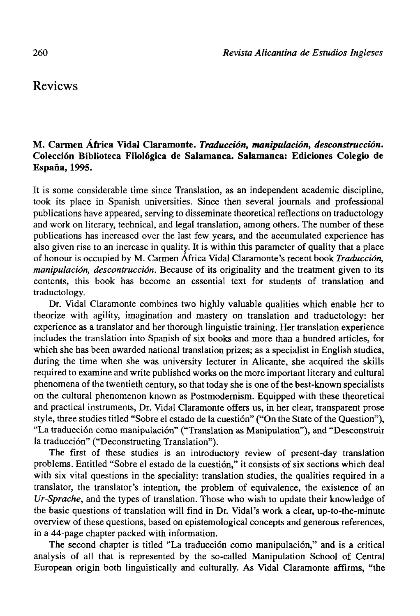## Reviews

## **M. Carmen África Vidal Claramonte.** *Traducción, manipulación, desconstrucción.*  **Colección Biblioteca Filológica de Salamanca. Salamanca: Ediciones Colegio de España, 1995.**

It is some considerable time since Translation, as an independent academic discipline, took its place in Spanish universities. Since then several journals and professional publications have appeared, serving to disseminate theoretical reflections on traductology and work on literary, technical, and legal translation, among others. The number of these publications has increased over the last few years, and the accumulated experience has also given rise to an increase in quality. It is within this parameter of quality that a place of honour is occupied by M. Carmen África Vidal Claramonte's recent book *Traducción, manipulación, descontrucción.* Because of its originality and the treatment given to its contents, this book has become an essential text for students of translation and traductology.

Dr. Vidal Claramonte combines two highly valuable qualities which enable her to theorize with agility, imagination and mastery on translation and traductology: her experience as a translator and her thorough linguistic training. Her translation experience includes the translation into Spanish of six books and more than a hundred articles, for which she has been awarded national translation prizes; as a specialist in English studies, during the time when she was university lecturer in Alicante, she acquired the skills required to examine and write published works on the more important literary and cultural phenomena of the twentieth century, so that today she is one of the best-known specialists on the cultural phenomenon known as Postmodernism. Equipped with these theoretical and practical instruments, Dr. Vidal Claramonte offers us, in her clear, transparent prose style, three studies titled "Sobre el estado de la cuestión" ("On the State of the Question"), "La traducción como manipulación" ("Translation as Manipulation"), and "Desconstruir la traducción" ("Deconstructing Translation").

The first of these studies is an introductory review of present-day translation problems. Entitled "Sobre el estado de la cuestión," it consists of six sections which deal with six vital questions in the speciality: translation studies, the qualities required in a translator, the translator's intention, the problem of equivalence, the existence of an *Ur-Sprache,* and the types of translation. Those who wish to update their knowledge of the basic questions of translation will find in Dr. Vidal's work a clear, up-to-the-minute overview of these questions, based on epistemological concepts and generous references, in a 44-page chapter packed with information.

The second chapter is titled "La traducción como manipulación," and is a critical analysis of all that is represented by the so-called Manipulation School of Central European origin both linguistically and culturally. As Vidal Claramonte affirms, "the